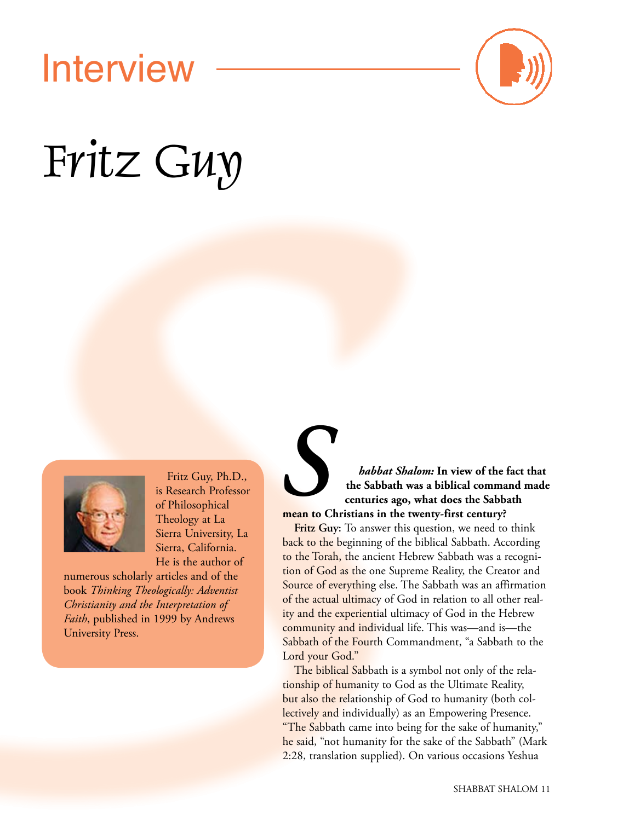# Interview



# Fritz Guy



Fritz Guy, Ph.D., is Research Professor of Philosophical Theology at La Sierra University, La Sierra, California. He is the author of

numerous scholarly articles and of the book *Thinking Theologically: Adventist Christianity and the Interpretation of Faith*, published in 1999 by Andrews University Press.

## **Shalom:** In view of the fact that<br>the Sabbath was a biblical command made<br>centuries ago, what does the Sabbath<br>mean to Christians in the twenty-first century? **the Sabbath was a biblical command made centuries ago, what does the Sabbath mean to Christians in the twenty-first century?**

**Fritz Guy:** To answer this question, we need to think back to the beginning of the biblical Sabbath. According to the Torah, the ancient Hebrew Sabbath was a recognition of God as the one Supreme Reality, the Creator and Source of everything else. The Sabbath was an affirmation of the actual ultimacy of God in relation to all other reality and the experiential ultimacy of God in the Hebrew community and individual life. This was—and is—the Sabbath of the Fourth Commandment, "a Sabbath to the Lord your God."

The biblical Sabbath is a symbol not only of the relationship of humanity to God as the Ultimate Reality, but also the relationship of God to humanity (both collectively and individually) as an Empowering Presence. "The Sabbath came into being for the sake of humanity," he said, "not humanity for the sake of the Sabbath" (Mark 2:28, translation supplied). On various occasions Yeshua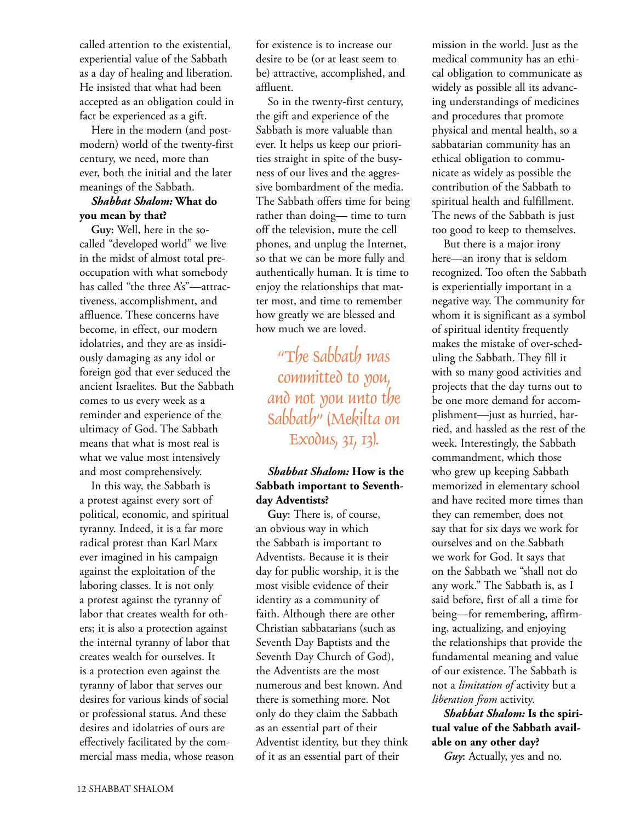called attention to the existential, experiential value of the Sabbath as a day of healing and liberation. He insisted that what had been accepted as an obligation could in fact be experienced as a gift.

Here in the modern (and postmodern) world of the twenty-first century, we need, more than ever, both the initial and the later meanings of the Sabbath.

#### *Shabbat Shalom:* **What do you mean by that?**

**Guy:** Well, here in the socalled "developed world" we live in the midst of almost total preoccupation with what somebody has called "the three A's"—attractiveness, accomplishment, and affluence. These concerns have become, in effect, our modern idolatries, and they are as insidiously damaging as any idol or foreign god that ever seduced the ancient Israelites. But the Sabbath comes to us every week as a reminder and experience of the ultimacy of God. The Sabbath means that what is most real is what we value most intensively and most comprehensively.

In this way, the Sabbath is a protest against every sort of political, economic, and spiritual tyranny. Indeed, it is a far more radical protest than Karl Marx ever imagined in his campaign against the exploitation of the laboring classes. It is not only a protest against the tyranny of labor that creates wealth for others; it is also a protection against the internal tyranny of labor that creates wealth for ourselves. It is a protection even against the tyranny of labor that serves our desires for various kinds of social or professional status. And these desires and idolatries of ours are effectively facilitated by the commercial mass media, whose reason for existence is to increase our desire to be (or at least seem to be) attractive, accomplished, and affluent.

So in the twenty-first century, the gift and experience of the Sabbath is more valuable than ever. It helps us keep our priorities straight in spite of the busyness of our lives and the aggressive bombardment of the media. The Sabbath offers time for being rather than doing— time to turn off the television, mute the cell phones, and unplug the Internet, so that we can be more fully and authentically human. It is time to enjoy the relationships that matter most, and time to remember how greatly we are blessed and how much we are loved.

"The Sabbath was committed to you, and not you unto the Sabbath" (Mekilta on Exodus, 31, 13).

#### *Shabbat Shalom:* **How is the Sabbath important to Seventhday Adventists?**

**Guy:** There is, of course, an obvious way in which the Sabbath is important to Adventists. Because it is their day for public worship, it is the most visible evidence of their identity as a community of faith. Although there are other Christian sabbatarians (such as Seventh Day Baptists and the Seventh Day Church of God), the Adventists are the most numerous and best known. And there is something more. Not only do they claim the Sabbath as an essential part of their Adventist identity, but they think of it as an essential part of their

mission in the world. Just as the medical community has an ethical obligation to communicate as widely as possible all its advancing understandings of medicines and procedures that promote physical and mental health, so a sabbatarian community has an ethical obligation to communicate as widely as possible the contribution of the Sabbath to spiritual health and fulfillment. The news of the Sabbath is just too good to keep to themselves.

But there is a major irony here—an irony that is seldom recognized. Too often the Sabbath is experientially important in a negative way. The community for whom it is significant as a symbol of spiritual identity frequently makes the mistake of over-scheduling the Sabbath. They fill it with so many good activities and projects that the day turns out to be one more demand for accomplishment—just as hurried, harried, and hassled as the rest of the week. Interestingly, the Sabbath commandment, which those who grew up keeping Sabbath memorized in elementary school and have recited more times than they can remember, does not say that for six days we work for ourselves and on the Sabbath we work for God. It says that on the Sabbath we "shall not do any work." The Sabbath is, as I said before, first of all a time for being—for remembering, affirming, actualizing, and enjoying the relationships that provide the fundamental meaning and value of our existence. The Sabbath is not a *limitation of* activity but a *liberation from* activity.

*Shabbat Shalom:* **Is the spiritual value of the Sabbath available on any other day?**

*Guy***:** Actually, yes and no.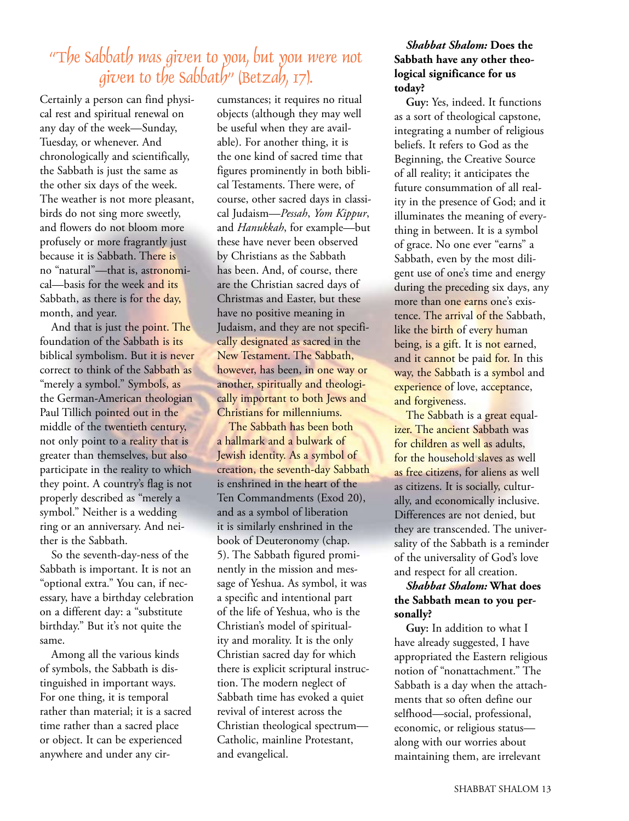### "The Sabbath was given to you, but you were not given to the Sabbath" (Betzah, 17).

Certainly a person can find physical rest and spiritual renewal on any day of the week—Sunday, Tuesday, or whenever. And chronologically and scientifically, the Sabbath is just the same as the other six days of the week. The weather is not more pleasant, birds do not sing more sweetly, and flowers do not bloom more profusely or more fragrantly just because it is Sabbath. There is no "natural"—that is, astronomical—basis for the week and its Sabbath, as there is for the day, month, and year.

And that is just the point. The foundation of the Sabbath is its biblical symbolism. But it is never correct to think of the Sabbath as "merely a symbol." Symbols, as the German-American theologian Paul Tillich pointed out in the middle of the twentieth century, not only point to a reality that is greater than themselves, but also participate in the reality to which they point. A country's flag is not properly described as "merely a symbol." Neither is a wedding ring or an anniversary. And neither is the Sabbath.

So the seventh-day-ness of the Sabbath is important. It is not an "optional extra." You can, if necessary, have a birthday celebration on a different day: a "substitute birthday." But it's not quite the same.

Among all the various kinds of symbols, the Sabbath is distinguished in important ways. For one thing, it is temporal rather than material; it is a sacred time rather than a sacred place or object. It can be experienced anywhere and under any circumstances; it requires no ritual objects (although they may well be useful when they are available). For another thing, it is the one kind of sacred time that figures prominently in both biblical Testaments. There were, of course, other sacred days in classical Judaism—*Pessah*, *Yom Kippur*, and *Hanukkah*, for example—but these have never been observed by Christians as the Sabbath has been. And, of course, there are the Christian sacred days of Christmas and Easter, but these have no positive meaning in Judaism, and they are not specifically designated as sacred in the New Testament. The Sabbath, however, has been, in one way or another, spiritually and theologically important to both Jews and Christians for millenniums.

The Sabbath has been both a hallmark and a bulwark of Jewish identity. As a symbol of creation, the seventh-day Sabbath is enshrined in the heart of the Ten Commandments (Exod 20), and as a symbol of liberation it is similarly enshrined in the book of Deuteronomy (chap. 5). The Sabbath figured prominently in the mission and message of Yeshua. As symbol, it was a specific and intentional part of the life of Yeshua, who is the Christian's model of spirituality and morality. It is the only Christian sacred day for which there is explicit scriptural instruction. The modern neglect of Sabbath time has evoked a quiet revival of interest across the Christian theological spectrum— Catholic, mainline Protestant, and evangelical.

#### *Shabbat Shalom:* **Does the Sabbath have any other theological significance for us today?**

**Guy:** Yes, indeed. It functions as a sort of theological capstone, integrating a number of religious beliefs. It refers to God as the Beginning, the Creative Source of all reality; it anticipates the future consummation of all reality in the presence of God; and it illuminates the meaning of everything in between. It is a symbol of grace. No one ever "earns" a Sabbath, even by the most diligent use of one's time and energy during the preceding six days, any more than one earns one's existence. The arrival of the Sabbath, like the birth of every human being, is a gift. It is not earned, and it cannot be paid for. In this way, the Sabbath is a symbol and experience of love, acceptance, and forgiveness.

The Sabbath is a great equalizer. The ancient Sabbath was for children as well as adults, for the household slaves as well as free citizens, for aliens as well as citizens. It is socially, culturally, and economically inclusive. Differences are not denied, but they are transcended. The universality of the Sabbath is a reminder of the universality of God's love and respect for all creation.

#### *Shabbat Shalom:* **What does the Sabbath mean to you personally?**

**Guy:** In addition to what I have already suggested, I have appropriated the Eastern religious notion of "nonattachment." The Sabbath is a day when the attachments that so often define our selfhood—social, professional, economic, or religious status along with our worries about maintaining them, are irrelevant